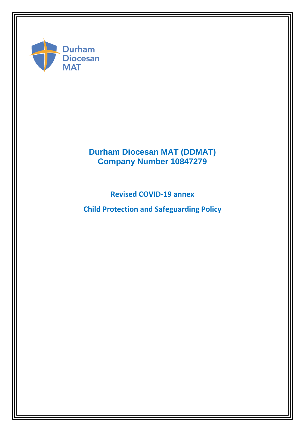

# **Durham Diocesan MAT (DDMAT) Company Number 10847279**

**Revised COVID-19 annex** 

**Child Protection and Safeguarding Policy**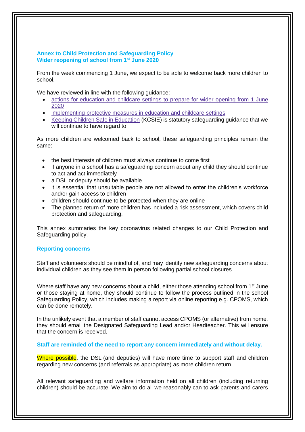## **Annex to Child Protection and Safeguarding Policy Wider reopening of school from 1st June 2020**

From the week commencing 1 June, we expect to be able to welcome back more children to school.

We have reviewed in line with the following guidance:

- actions for [education](https://www.gov.uk/government/publications/actions-for-educational-and-childcare-settings-to-prepare-for-wider-opening-from-1-june-2020/actions-for-education-and-childcare-settings-to-prepare-for-wider-opening-from-1-june-2020) and childcare settings to prepare for wider opening from 1 June [2020](https://www.gov.uk/government/publications/actions-for-educational-and-childcare-settings-to-prepare-for-wider-opening-from-1-june-2020/actions-for-education-and-childcare-settings-to-prepare-for-wider-opening-from-1-june-2020)
- [implementing](https://www.gov.uk/government/publications/coronavirus-covid-19-implementing-protective-measures-in-education-and-childcare-settings) protective measures in education and childcare settings
- Keeping Children Safe in [Education](https://www.gov.uk/government/publications/keeping-children-safe-in-education--2) (KCSIE) is statutory safeguarding guidance that we will continue to have regard to

As more children are welcomed back to school, these safeguarding principles remain the same:

- the best interests of children must always continue to come first
- if anyone in a school has a safeguarding concern about any child they should continue to act and act immediately
- a DSL or deputy should be available
- it is essential that unsuitable people are not allowed to enter the children's workforce and/or gain access to children
- children should continue to be protected when they are online
- The planned return of more children has included a risk assessment, which covers child protection and safeguarding.

This annex summaries the key coronavirus related changes to our Child Protection and Safeguarding policy.

## **Reporting concerns**

Staff and volunteers should be mindful of, and may identify new safeguarding concerns about individual children as they see them in person following partial school closures

Where staff have any new concerns about a child, either those attending school from 1<sup>st</sup> June or those staying at home, they should continue to follow the process outlined in the school Safeguarding Policy, which includes making a report via online reporting e.g. CPOMS, which can be done remotely.

In the unlikely event that a member of staff cannot access CPOMS (or alternative) from home, they should email the Designated Safeguarding Lead and/or Headteacher. This will ensure that the concern is received.

**Staff are reminded of the need to report any concern immediately and without delay.** 

Where possible, the DSL (and deputies) will have more time to support staff and children regarding new concerns (and referrals as appropriate) as more children return

All relevant safeguarding and welfare information held on all children (including returning children) should be accurate. We aim to do all we reasonably can to ask parents and carers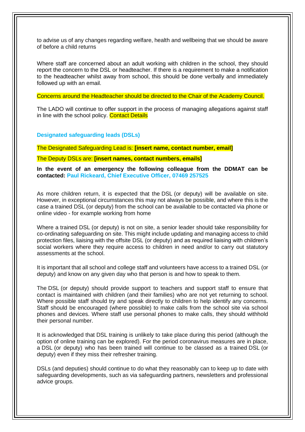to advise us of any changes regarding welfare, health and wellbeing that we should be aware of before a child returns

Where staff are concerned about an adult working with children in the school, they should report the concern to the DSL or headteacher. If there is a requirement to make a notification to the headteacher whilst away from school, this should be done verbally and immediately followed up with an email.

Concerns around the Headteacher should be directed to the Chair of the Academy Council.

The LADO will continue to offer support in the process of managing allegations against staff in line with the school policy. Contact Details

**Designated safeguarding leads (DSLs)**

The Designated Safeguarding Lead is: **[insert name, contact number, email]**

The Deputy DSLs are: **[insert names, contact numbers, emails]**

**In the event of an emergency the following colleague from the DDMAT can be contacted: Paul Rickeard, Chief Executive Officer, 07469 257525**

As more children return, it is expected that the DSL (or deputy) will be available on site. However, in exceptional circumstances this may not always be possible, and where this is the case a trained DSL (or deputy) from the school can be available to be contacted via phone or online video - for example working from home

Where a trained DSL (or deputy) is not on site, a senior leader should take responsibility for co-ordinating safeguarding on site. This might include updating and managing access to child protection files, liaising with the offsite DSL (or deputy) and as required liaising with children's social workers where they require access to children in need and/or to carry out statutory assessments at the school.

It is important that all school and college staff and volunteers have access to a trained DSL (or deputy) and know on any given day who that person is and how to speak to them.

The DSL (or deputy) should provide support to teachers and support staff to ensure that contact is maintained with children (and their families) who are not yet returning to school. Where possible staff should try and speak directly to children to help identify any concerns. Staff should be encouraged (where possible) to make calls from the school site via school phones and devices. Where staff use personal phones to make calls, they should withhold their personal number.

It is acknowledged that DSL training is unlikely to take place during this period (although the option of online training can be explored). For the period coronavirus measures are in place, a DSL (or deputy) who has been trained will continue to be classed as a trained DSL (or deputy) even if they miss their refresher training.

DSLs (and deputies) should continue to do what they reasonably can to keep up to date with safeguarding developments, such as via safeguarding partners, newsletters and professional advice groups.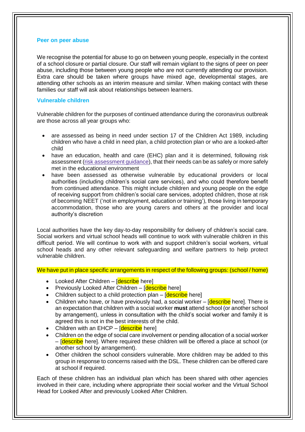#### **Peer on peer abuse**

We recognise the potential for abuse to go on between young people, especially in the context of a school closure or partial closure. Our staff will remain vigilant to the signs of peer on peer abuse, including those between young people who are not currently attending our provision. Extra care should be taken where groups have mixed age, developmental stages, are attending other schools as an interim measure and similar. When making contact with these families our staff will ask about relationships between learners.

## **Vulnerable children**

Vulnerable children for the purposes of continued attendance during the coronavirus outbreak are those across all year groups who:

- are assessed as being in need under section 17 of the Children Act 1989, including children who have a child in need plan, a child protection plan or who are a looked-after child
- have an education, health and care (EHC) plan and it is determined, following risk assessment (risk [assessment](https://www.gov.uk/government/publications/coronavirus-covid-19-send-risk-assessment-guidance/coronavirus-covid-19-send-risk-assessment-guidance) guidance), that their needs can be as safely or more safely met in the educational environment
- have been assessed as otherwise vulnerable by educational providers or local authorities (including children's social care services), and who could therefore benefit from continued attendance. This might include children and young people on the edge of receiving support from children's social care services, adopted children, those at risk of becoming NEET ('not in employment, education or training'), those living in temporary accommodation, those who are young carers and others at the provider and local authority's discretion

Local authorities have the key day-to-day responsibility for delivery of children's social care. Social workers and virtual school heads will continue to work with vulnerable children in this difficult period. We will continue to work with and support children's social workers, virtual school heads and any other relevant safeguarding and welfare partners to help protect vulnerable children.

We have put in place specific arrangements in respect of the following groups: (school / home)

- Looked After Children [describe here]
- Previously Looked After Children [describe here]
- Children subject to a child protection plan  $\sqrt{\frac{1}{1-\epsilon}}$  herel
- Children who have, or have previously had, a social worker  $-$  [describe here]. There is an expectation that children with a social worker **must** attend school (or another school by arrangement), unless in consultation with the child's social worker and family it is agreed this is not in the best interests of the child.
- Children with an  $E HCP [describe here]$
- Children on the edge of social care involvement or pending allocation of a social worker – **[describe** here]. Where required these children will be offered a place at school (or another school by arrangement).
- Other children the school considers vulnerable. More children may be added to this group in response to concerns raised with the DSL. These children can be offered care at school if required.

Each of these children has an individual plan which has been shared with other agencies involved in their care, including where appropriate their social worker and the Virtual School Head for Looked After and previously Looked After Children.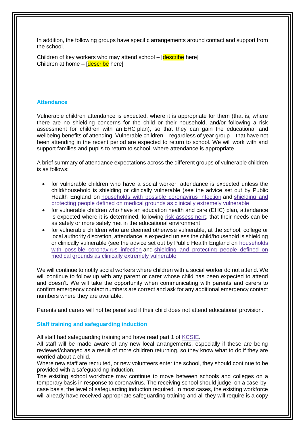In addition, the following groups have specific arrangements around contact and support from the school.

Children of key workers who may attend school – [describe here] Children at home – [describe here]

#### **Attendance**

Vulnerable children attendance is expected, where it is appropriate for them (that is, where there are no shielding concerns for the child or their household, and/or following a risk assessment for children with an EHC plan), so that they can gain the educational and wellbeing benefits of attending. Vulnerable children – regardless of year group – that have not been attending in the recent period are expected to return to school. We will work with and support families and pupils to return to school, where attendance is appropriate.

A brief summary of attendance expectations across the different groups of vulnerable children is as follows:

- for vulnerable children who have a social worker, attendance is expected unless the child/household is shielding or clinically vulnerable (see the advice set out by Public Health England on households with possible [coronavirus](https://www.gov.uk/government/publications/covid-19-stay-at-home-guidance) infection and [shielding](https://www.gov.uk/government/publications/guidance-on-shielding-and-protecting-extremely-vulnerable-persons-from-covid-19) and protecting people defined on medical grounds as clinically extremely [vulnerable](https://www.gov.uk/government/publications/guidance-on-shielding-and-protecting-extremely-vulnerable-persons-from-covid-19)
- for vulnerable children who have an education health and care (EHC) plan, attendance is expected where it is determined, following risk [assessment,](https://www.gov.uk/government/publications/coronavirus-covid-19-send-risk-assessment-guidance/coronavirus-covid-19-send-risk-assessment-guidance) that their needs can be as safely or more safely met in the educational environment
- for vulnerable children who are deemed otherwise vulnerable, at the school, college or local authority discretion, attendance is expected unless the child/household is shielding or clinically vulnerable (see the advice set out by Public Health England on [households](https://www.gov.uk/government/publications/covid-19-stay-at-home-guidance) with possible [coronavirus](https://www.gov.uk/government/publications/covid-19-stay-at-home-guidance) infection and shielding and [protecting](https://www.gov.uk/government/publications/guidance-on-shielding-and-protecting-extremely-vulnerable-persons-from-covid-19) people defined on medical grounds as clinically extremely [vulnerable](https://www.gov.uk/government/publications/guidance-on-shielding-and-protecting-extremely-vulnerable-persons-from-covid-19)

We will continue to notify social workers where children with a social worker do not attend. We will continue to follow up with any parent or carer whose child has been expected to attend and doesn't. We will take the opportunity when communicating with parents and carers to confirm emergency contact numbers are correct and ask for any additional emergency contact numbers where they are available.

Parents and carers will not be penalised if their child does not attend educational provision.

## **Staff training and safeguarding induction**

All staff had safeguarding training and have read part 1 of [KCSIE.](https://www.gov.uk/government/publications/keeping-children-safe-in-education--2)

All staff will be made aware of any new local arrangements, especially if these are being reviewed/changed as a result of more children returning, so they know what to do if they are worried about a child.

Where new staff are recruited, or new volunteers enter the school, they should continue to be provided with a safeguarding induction.

The existing school workforce may continue to move between schools and colleges on a temporary basis in response to coronavirus. The receiving school should judge, on a case-bycase basis, the level of safeguarding induction required. In most cases, the existing workforce will already have received appropriate safeguarding training and all they will require is a copy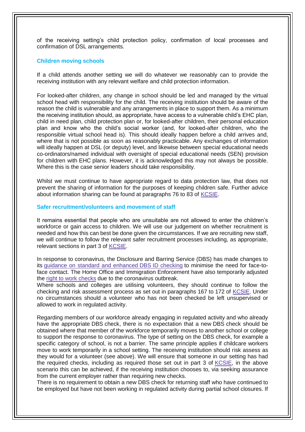of the receiving setting's child protection policy, confirmation of local processes and confirmation of DSL arrangements.

#### **Children moving schools**

If a child attends another setting we will do whatever we reasonably can to provide the receiving institution with any relevant welfare and child protection information.

For looked-after children, any change in school should be led and managed by the virtual school head with responsibility for the child. The receiving institution should be aware of the reason the child is vulnerable and any arrangements in place to support them. As a minimum the receiving institution should, as appropriate, have access to a vulnerable child's EHC plan, child in need plan, child protection plan or, for looked-after children, their personal education plan and know who the child's social worker (and, for looked-after children, who the responsible virtual school head is). This should ideally happen before a child arrives and, where that is not possible as soon as reasonably practicable. Any exchanges of information will ideally happen at DSL (or deputy) level, and likewise between special educational needs co-ordinators/named individual with oversight of special educational needs (SEN) provision for children with EHC plans. However, it is acknowledged this may not always be possible. Where this is the case senior leaders should take responsibility.

Whilst we must continue to have appropriate regard to data protection law, that does not prevent the sharing of information for the purposes of keeping children safe. Further advice about information sharing can be found at paragraphs 76 to 83 of [KCSIE.](https://www.gov.uk/government/publications/keeping-children-safe-in-education--2)

#### **Safer recruitment/volunteers and movement of staff**

It remains essential that people who are unsuitable are not allowed to enter the children's workforce or gain access to children. We will use our judgement on whether recruitment is needed and how this can best be done given the circumstances. If we are recruiting new staff, we will continue to follow the relevant safer recruitment processes including, as appropriate, relevant sections in part 3 of [KCSIE.](https://www.gov.uk/government/publications/keeping-children-safe-in-education--2)

In response to coronavirus, the Disclosure and Barring Service (DBS) has made changes to its guidance on standard and [enhanced](https://www.gov.uk/government/news/covid-19-changes-to-dbs-id-checking-guidelines) DBS ID checking to minimise the need for face-toface contact. The Home Office and Immigration Enforcement have also temporarily adjusted the right to work [checks](https://www.gov.uk/guidance/coronavirus-covid-19-right-to-work-checks) due to the coronavirus outbreak.

Where schools and colleges are utilising volunteers, they should continue to follow the checking and risk assessment process as set out in paragraphs 167 to 172 of [KCSIE.](https://www.gov.uk/government/publications/keeping-children-safe-in-education--2) Under no circumstances should a volunteer who has not been checked be left unsupervised or allowed to work in regulated activity.

Regarding members of our workforce already engaging in regulated activity and who already have the appropriate DBS check, there is no expectation that a new DBS check should be obtained where that member of the workforce temporarily moves to another school or college to support the response to coronavirus. The type of setting on the DBS check, for example a specific category of school, is not a barrier. The same principle applies if childcare workers move to work temporarily in a school setting. The receiving institution should risk assess as they would for a volunteer (see above). We will ensure that someone in our setting has had the required checks, including as required those set out in part 3 of [KCSIE,](https://www.gov.uk/government/publications/keeping-children-safe-in-education--2) in the above scenario this can be achieved, if the receiving institution chooses to, via seeking assurance from the current employer rather than requiring new checks.

There is no requirement to obtain a new DBS check for returning staff who have continued to be employed but have not been working in regulated activity during partial school closures. If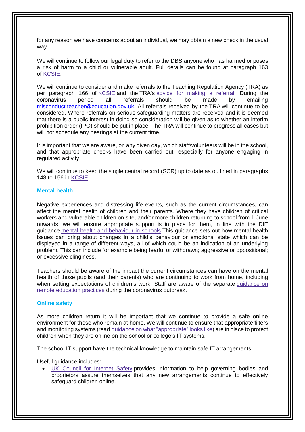for any reason we have concerns about an individual, we may obtain a new check in the usual way.

We will continue to follow our legal duty to refer to the DBS anyone who has harmed or poses a risk of harm to a child or vulnerable adult. Full details can be found at paragraph 163 of [KCSIE.](https://www.gov.uk/government/publications/keeping-children-safe-in-education--2)

We will continue to consider and make referrals to the Teaching Regulation Agency (TRA) as per paragraph 166 of [KCSIE](https://www.gov.uk/government/publications/keeping-children-safe-in-education--2) and the TRA's advice for making a [referral.](https://www.gov.uk/guidance/teacher-misconduct-referring-a-case) During the coronavirus period all referrals should be made by emailing [misconduct.teacher@education.gov.uk.](mailto:misconduct.teacher@education.gov.uk) All referrals received by the TRA will continue to be considered. Where referrals on serious safeguarding matters are received and it is deemed that there is a public interest in doing so consideration will be given as to whether an interim prohibition order (IPO) should be put in place. The TRA will continue to progress all cases but will not schedule any hearings at the current time.

It is important that we are aware, on any given day, which staff/volunteers will be in the school, and that appropriate checks have been carried out, especially for anyone engaging in regulated activity.

We will continue to keep the single central record (SCR) up to date as outlined in paragraphs 148 to 156 in [KCSIE.](https://www.gov.uk/government/publications/keeping-children-safe-in-education--2)

#### **Mental health**

Negative experiences and distressing life events, such as the current circumstances, can affect the mental health of children and their parents. Where they have children of critical workers and vulnerable children on site, and/or more children returning to school from 1 June onwards, we will ensure appropriate support is in place for them, in line with the DfE guidance mental health and [behaviour](https://www.gov.uk/government/publications/mental-health-and-behaviour-in-schools--2) in schools This guidance sets out how mental health issues can bring about changes in a child's behaviour or emotional state which can be displayed in a range of different ways, all of which could be an indication of an underlying problem. This can include for example being fearful or withdrawn; aggressive or oppositional; or excessive clinginess.

Teachers should be aware of the impact the current circumstances can have on the mental health of those pupils (and their parents) who are continuing to work from home, including when setting expectations of children's work. Staff are aware of the separate [guidance](https://www.gov.uk/guidance/remote-education-practice-for-schools-during-coronavirus-covid-19) on remote [education](https://www.gov.uk/guidance/remote-education-practice-for-schools-during-coronavirus-covid-19) practices during the coronavirus outbreak.

## **Online safety**

As more children return it will be important that we continue to provide a safe online environment for those who remain at home. We will continue to ensure that appropriate filters and monitoring systems (read guidance on what ["appropriate"](https://www.saferinternet.org.uk/advice-centre/teachers-and-school-staff/appropriate-filtering-and-monitoring) looks like) are in place to protect children when they are online on the school or college's IT systems.

The school IT support have the technical knowledge to maintain safe IT arrangements.

Useful guidance includes:

 UK Council for [Internet](https://www.gov.uk/government/publications/online-safety-in-schools-and-colleges-questions-from-the-governing-board) Safety provides information to help governing bodies and proprietors assure themselves that any new arrangements continue to effectively safeguard children online.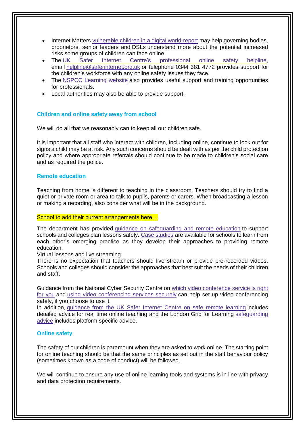- Internet Matters vulnerable children in a digital [world-report](https://www.internetmatters.org/about-us/vulnerable-children-in-a-digital-world-report/) may help governing bodies, proprietors, senior leaders and DSLs understand more about the potential increased risks some groups of children can face online.
- The UK Safer Internet Centre's [professional](https://www.saferinternet.org.uk/helpline/professionals-online-safety-helpline) online safety helpline, email [helpline@saferinternet.org.uk](mailto:helpline@saferinternet.org.uk) or telephone 0344 381 4772 provides support for the children's workforce with any online safety issues they face.
- The NSPCC [Learning](https://learning.nspcc.org.uk/) website also provides useful support and training opportunities for professionals.
- Local authorities may also be able to provide support.

## **Children and online safety away from school**

We will do all that we reasonably can to keep all our children safe.

It is important that all staff who interact with children, including online, continue to look out for signs a child may be at risk. Any such concerns should be dealt with as per the child protection policy and where appropriate referrals should continue to be made to children's social care and as required the police.

#### **Remote education**

Teaching from home is different to teaching in the classroom. Teachers should try to find a quiet or private room or area to talk to pupils, parents or carers. When broadcasting a lesson or making a recording, also consider what will be in the background.

#### School to add their current arrangements here…

The department has provided guidance on [safeguarding](https://www.gov.uk/guidance/safeguarding-and-remote-education-during-coronavirus-covid-19) and remote education to support schools and colleges plan lessons safely. Case [studies](https://www.gov.uk/government/collections/case-studies-remote-education-practice-for-schools-during-coronavirus-covid-19) are available for schools to learn from each other's emerging practice as they develop their approaches to providing remote education.

Virtual lessons and live streaming

There is no expectation that teachers should live stream or provide pre-recorded videos. Schools and colleges should consider the approaches that best suit the needs of their children and staff.

Guidance from the National Cyber Security Centre on which video [conference](https://www.ncsc.gov.uk/guidance/video-conferencing-services-security-guidance-organisations) service is right for [you](https://www.ncsc.gov.uk/guidance/video-conferencing-services-security-guidance-organisations) and using video [conferencing](https://www.ncsc.gov.uk/guidance/video-conferencing-services-using-them-securely) services securely can help set up video conferencing safely, if you choose to use it.

In addition, [guidance](https://swgfl.org.uk/resources/safe-remote-learning/) from the UK Safer Internet Centre on safe remote learning includes detailed advice for real time online teaching and the London Grid for Learning [safeguarding](https://coronavirus.lgfl.net/safeguarding) [advice](https://coronavirus.lgfl.net/safeguarding) includes platform specific advice.

## **Online safety**

The safety of our children is paramount when they are asked to work online. The starting point for online teaching should be that the same principles as set out in the staff behaviour policy (sometimes known as a code of conduct) will be followed.

We will continue to ensure any use of online learning tools and systems is in line with privacy and data protection requirements.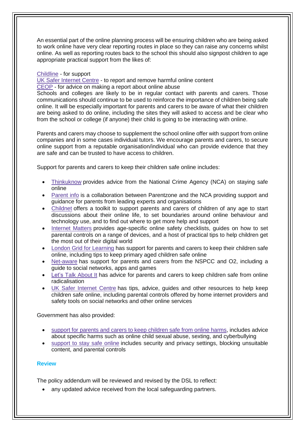An essential part of the online planning process will be ensuring children who are being asked to work online have very clear reporting routes in place so they can raise any concerns whilst online. As well as reporting routes back to the school this should also signpost children to age appropriate practical support from the likes of:

## [Childline](https://www.childline.org.uk/?utm_source=google&utm_medium=cpc&utm_campaign=UK_GO_S_B_BND_Grant_Childline_Information&utm_term=role_of_childline&gclsrc=aw.ds&&gclid=EAIaIQobChMIlfLRh-ez6AIVRrDtCh1N9QR2EAAYASAAEgLc-vD_BwE&gclsrc=aw.ds) - for support

UK Safer [Internet](https://reportharmfulcontent.com/) Centre - to report and remove harmful online content

[CEOP](https://www.ceop.police.uk/safety-centre/) - for advice on making a report about online abuse

Schools and colleges are likely to be in regular contact with parents and carers. Those communications should continue to be used to reinforce the importance of children being safe online. It will be especially important for parents and carers to be aware of what their children are being asked to do online, including the sites they will asked to access and be clear who from the school or college (if anyone) their child is going to be interacting with online.

Parents and carers may choose to supplement the school online offer with support from online companies and in some cases individual tutors. We encourage parents and carers, to secure online support from a reputable organisation/individual who can provide evidence that they are safe and can be trusted to have access to children.

Support for parents and carers to keep their children safe online includes:

- [Thinkuknow](http://www.thinkuknow.co.uk/) provides advice from the National Crime Agency (NCA) on staying safe online
- [Parent](https://parentinfo.org/) info is a collaboration between Parentzone and the NCA providing support and guidance for parents from leading experts and organisations
- [Childnet](https://www.childnet.com/parents-and-carers/parent-and-carer-toolkit) offers a toolkit to support parents and carers of children of any age to start discussions about their online life, to set boundaries around online behaviour and technology use, and to find out where to get more help and support
- [Internet](https://www.internetmatters.org/?gclid=EAIaIQobChMIktuA5LWK2wIVRYXVCh2afg2aEAAYASAAEgIJ5vD_BwE) Matters provides age-specific online safety checklists, guides on how to set parental controls on a range of devices, and a host of practical tips to help children get the most out of their digital world
- London Grid for [Learning](http://www.lgfl.net/online-safety/) has support for parents and carers to keep their children safe online, including tips to keep primary aged children safe online
- [Net-aware](https://www.net-aware.org.uk/) has support for parents and carers from the NSPCC and O2, including a guide to social networks, apps and games
- Let's Talk [About](https://www.ltai.info/staying-safe-online/) It has advice for parents and carers to keep children safe from online radicalisation
- UK Safer [Internet](https://www.saferinternet.org.uk/advice-centre/parents-and-carers) Centre has tips, advice, guides and other resources to help keep children safe online, including parental controls offered by home internet providers and safety tools on social networks and other online services

Government has also provided:

- support for parents and carers to keep [children](https://www.gov.uk/government/publications/coronavirus-covid-19-keeping-children-safe-online/coronavirus-covid-19-support-for-parents-and-carers-to-keep-children-safe-online) safe from online harms, includes advice about specific harms such as online child sexual abuse, sexting, and cyberbullying
- [support](https://www.gov.uk/guidance/covid-19-staying-safe-online) to stay safe online includes security and privacy settings, blocking unsuitable content, and parental controls

## **Review**

The policy addendum will be reviewed and revised by the DSL to reflect:

any updated advice received from the local safeguarding partners.